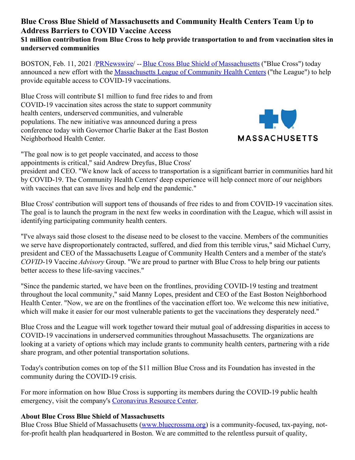## **Blue Cross Blue Shield of Massachusetts and Community Health Centers Team Up to Address Barriers to COVID Vaccine Access \$1 million contribution from Blue Cross to help provide transportation to and from vaccination sites in underserved communities**

BOSTON, Feb. 11, 2021 /*PRNewswire*/ -- Blue Cross Blue Shield of [Massachusetts](https://c212.net/c/link/?t=0&l=en&o=3065889-1&h=3936984795&u=https%3A%2F%2Fwww.bluecrossma.org%2F&a=Blue+Cross+Blue+Shield+of+Massachusetts) ("Blue Cross") today announced a new effort with the [Massachusetts](https://c212.net/c/link/?t=0&l=en&o=3065889-1&h=4060710475&u=https%3A%2F%2Fwww.massleague.org%2F&a=Massachusetts+League+of+Community+Health+Centers) League of Community Health Centers ("the League") to help provide equitable access to COVID-19 vaccinations.

Blue Cross will contribute \$1 million to fund free rides to and from COVID-19 vaccination sites across the state to support community health centers, underserved communities, and vulnerable populations. The new initiative was announced during a press conference today with Governor Charlie Baker at the East Boston Neighborhood Health Center.



"The goal now is to get people vaccinated, and access to those appointments is critical," said Andrew Dreyfus, Blue Cross'

president and CEO. "We know lack of access to transportation is a significant barrier in communities hard hit by COVID-19. The Community Health Centers' deep experience will help connect more of our neighbors with vaccines that can save lives and help end the pandemic."

Blue Cross' contribution will support tens of thousands of free rides to and from COVID-19 vaccination sites. The goal is to launch the program in the next few weeks in coordination with the League, which will assist in identifying participating community health centers.

"I've always said those closest to the disease need to be closest to the vaccine. Members of the communities we serve have disproportionately contracted, suffered, and died from this terrible virus," said Michael Curry, president and CEO of the Massachusetts League of Community Health Centers and a member of the state's *COVID*-19 Vaccine *Advisory* Group. "We are proud to partner with Blue Cross to help bring our patients better access to these life-saving vaccines."

"Since the pandemic started, we have been on the frontlines, providing COVID-19 testing and treatment throughout the local community," said Manny Lopes, president and CEO of the East Boston Neighborhood Health Center. "Now, we are on the frontlines of the vaccination effort too. We welcome this new initiative, which will make it easier for our most vulnerable patients to get the vaccinations they desperately need."

Blue Cross and the League will work together toward their mutual goal of addressing disparities in access to COVID-19 vaccinations in underserved communities throughout Massachusetts. The organizations are looking at a variety of options which may include grants to community health centers, partnering with a ride share program, and other potential transportation solutions.

Today's contribution comes on top of the \$11 million Blue Cross and its Foundation has invested in the community during the COVID-19 crisis.

For more information on how Blue Cross is supporting its members during the COVID-19 public health emergency, visit the company's [Coronavirus](https://c212.net/c/link/?t=0&l=en&o=3065889-1&h=568079107&u=https%3A%2F%2Fwww.bluecrossma.org%2Fmyblue%2Fcoronavirus-resource-center&a=Coronavirus+Resource+Center) Resource Center.

## **About Blue Cross Blue Shield of Massachusetts**

Blue Cross Blue Shield of Massachusetts [\(www.bluecrossma.org](https://c212.net/c/link/?t=0&l=en&o=3065889-1&h=3219201499&u=http%3A%2F%2Fwww.bluecrossma.org%2F&a=www.bluecrossma.org)) is a community-focused, tax-paying, notfor-profit health plan headquartered in Boston. We are committed to the relentless pursuit of quality,